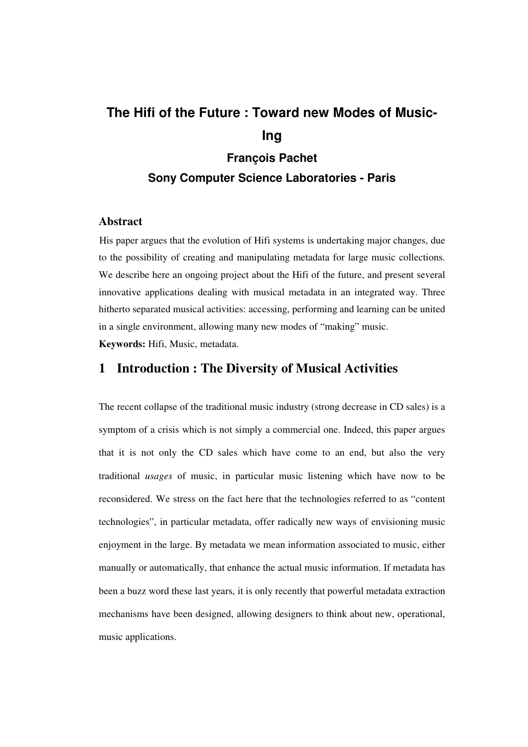# **The Hifi of the Future : Toward new Modes of Music-Ing François Pachet**

# **Sony Computer Science Laboratories - Paris**

# **Abstract**

His paper argues that the evolution of Hifi systems is undertaking major changes, due to the possibility of creating and manipulating metadata for large music collections. We describe here an ongoing project about the Hifi of the future, and present several innovative applications dealing with musical metadata in an integrated way. Three hitherto separated musical activities: accessing, performing and learning can be united in a single environment, allowing many new modes of "making" music. **Keywords:** Hifi, Music, metadata.

# **1 Introduction : The Diversity of Musical Activities**

The recent collapse of the traditional music industry (strong decrease in CD sales) is a symptom of a crisis which is not simply a commercial one. Indeed, this paper argues that it is not only the CD sales which have come to an end, but also the very traditional *usages* of music, in particular music listening which have now to be reconsidered. We stress on the fact here that the technologies referred to as "content technologies", in particular metadata, offer radically new ways of envisioning music enjoyment in the large. By metadata we mean information associated to music, either manually or automatically, that enhance the actual music information. If metadata has been a buzz word these last years, it is only recently that powerful metadata extraction mechanisms have been designed, allowing designers to think about new, operational, music applications.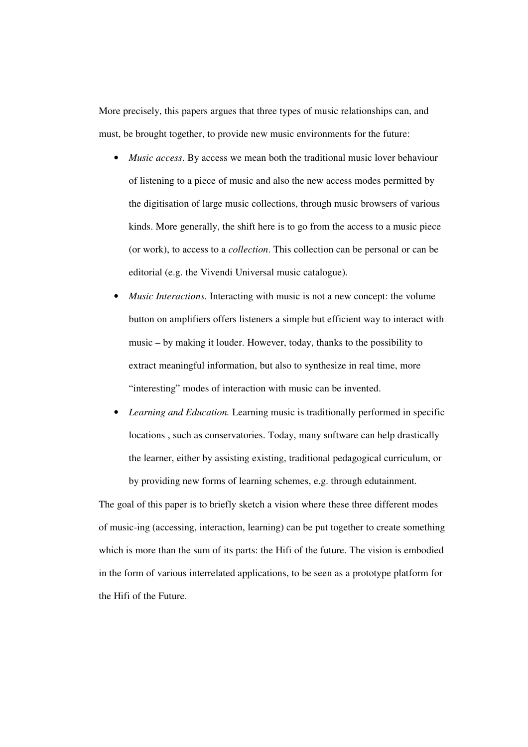More precisely, this papers argues that three types of music relationships can, and must, be brought together, to provide new music environments for the future:

- *Music access*. By access we mean both the traditional music lover behaviour of listening to a piece of music and also the new access modes permitted by the digitisation of large music collections, through music browsers of various kinds. More generally, the shift here is to go from the access to a music piece (or work), to access to a *collection*. This collection can be personal or can be editorial (e.g. the Vivendi Universal music catalogue).
- *Music Interactions.* Interacting with music is not a new concept: the volume button on amplifiers offers listeners a simple but efficient way to interact with music – by making it louder. However, today, thanks to the possibility to extract meaningful information, but also to synthesize in real time, more "interesting" modes of interaction with music can be invented.
- *Learning and Education.* Learning music is traditionally performed in specific locations , such as conservatories. Today, many software can help drastically the learner, either by assisting existing, traditional pedagogical curriculum, or by providing new forms of learning schemes, e.g. through edutainment.

The goal of this paper is to briefly sketch a vision where these three different modes of music-ing (accessing, interaction, learning) can be put together to create something which is more than the sum of its parts: the Hifi of the future. The vision is embodied in the form of various interrelated applications, to be seen as a prototype platform for the Hifi of the Future.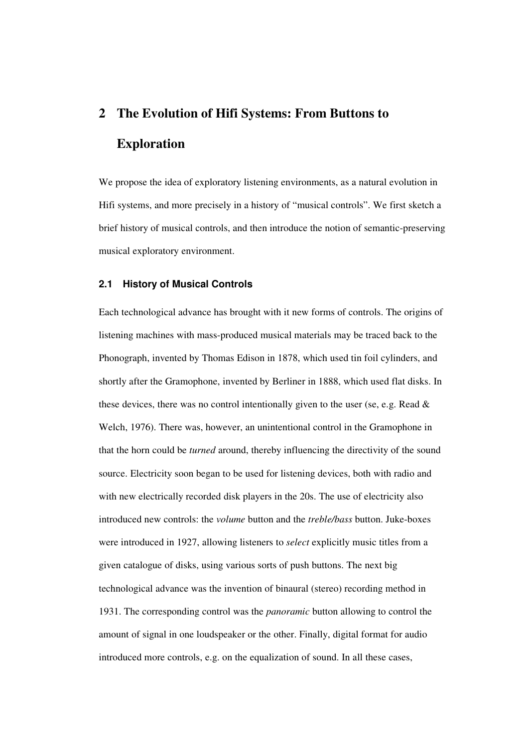# **2 The Evolution of Hifi Systems: From Buttons to Exploration**

We propose the idea of exploratory listening environments, as a natural evolution in Hifi systems, and more precisely in a history of "musical controls". We first sketch a brief history of musical controls, and then introduce the notion of semantic-preserving musical exploratory environment.

#### **2.1 History of Musical Controls**

Each technological advance has brought with it new forms of controls. The origins of listening machines with mass-produced musical materials may be traced back to the Phonograph, invented by Thomas Edison in 1878, which used tin foil cylinders, and shortly after the Gramophone, invented by Berliner in 1888, which used flat disks. In these devices, there was no control intentionally given to the user (se, e.g. Read & Welch, 1976). There was, however, an unintentional control in the Gramophone in that the horn could be *turned* around, thereby influencing the directivity of the sound source. Electricity soon began to be used for listening devices, both with radio and with new electrically recorded disk players in the 20s. The use of electricity also introduced new controls: the *volume* button and the *treble/bass* button. Juke-boxes were introduced in 1927, allowing listeners to *select* explicitly music titles from a given catalogue of disks, using various sorts of push buttons. The next big technological advance was the invention of binaural (stereo) recording method in 1931. The corresponding control was the *panoramic* button allowing to control the amount of signal in one loudspeaker or the other. Finally, digital format for audio introduced more controls, e.g. on the equalization of sound. In all these cases,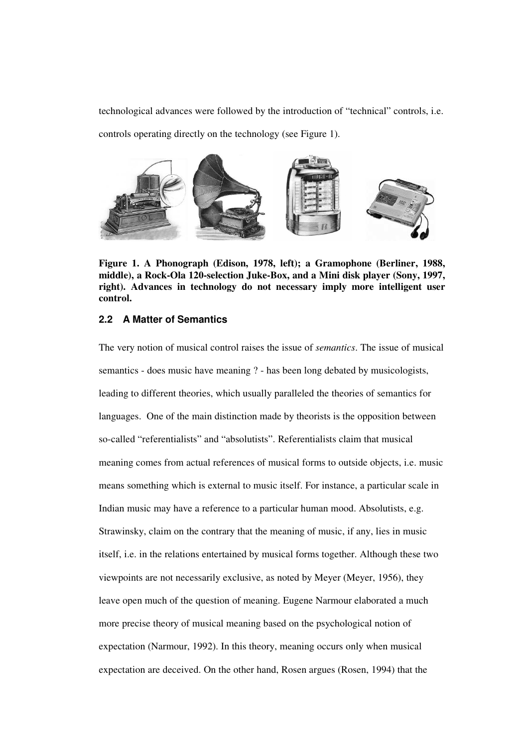technological advances were followed by the introduction of "technical" controls, i.e. controls operating directly on the technology (see Figure 1).



**Figure 1. A Phonograph (Edison, 1978, left); a Gramophone (Berliner, 1988, middle), a Rock-Ola 120-selection Juke-Box, and a Mini disk player (Sony, 1997, right). Advances in technology do not necessary imply more intelligent user control.**

### **2.2 A Matter of Semantics**

The very notion of musical control raises the issue of *semantics*. The issue of musical semantics - does music have meaning ? - has been long debated by musicologists, leading to different theories, which usually paralleled the theories of semantics for languages. One of the main distinction made by theorists is the opposition between so-called "referentialists" and "absolutists". Referentialists claim that musical meaning comes from actual references of musical forms to outside objects, i.e. music means something which is external to music itself. For instance, a particular scale in Indian music may have a reference to a particular human mood. Absolutists, e.g. Strawinsky, claim on the contrary that the meaning of music, if any, lies in music itself, i.e. in the relations entertained by musical forms together. Although these two viewpoints are not necessarily exclusive, as noted by Meyer (Meyer, 1956), they leave open much of the question of meaning. Eugene Narmour elaborated a much more precise theory of musical meaning based on the psychological notion of expectation (Narmour, 1992). In this theory, meaning occurs only when musical expectation are deceived. On the other hand, Rosen argues (Rosen, 1994) that the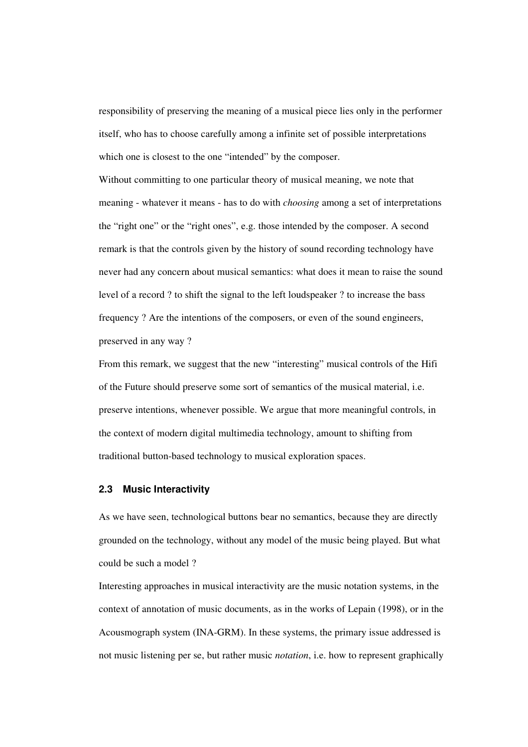responsibility of preserving the meaning of a musical piece lies only in the performer itself, who has to choose carefully among a infinite set of possible interpretations which one is closest to the one "intended" by the composer.

Without committing to one particular theory of musical meaning, we note that meaning - whatever it means - has to do with *choosing* among a set of interpretations the "right one" or the "right ones", e.g. those intended by the composer. A second remark is that the controls given by the history of sound recording technology have never had any concern about musical semantics: what does it mean to raise the sound level of a record ? to shift the signal to the left loudspeaker ? to increase the bass frequency ? Are the intentions of the composers, or even of the sound engineers, preserved in any way ?

From this remark, we suggest that the new "interesting" musical controls of the Hifi of the Future should preserve some sort of semantics of the musical material, i.e. preserve intentions, whenever possible. We argue that more meaningful controls, in the context of modern digital multimedia technology, amount to shifting from traditional button-based technology to musical exploration spaces.

#### **2.3 Music Interactivity**

As we have seen, technological buttons bear no semantics, because they are directly grounded on the technology, without any model of the music being played. But what could be such a model ?

Interesting approaches in musical interactivity are the music notation systems, in the context of annotation of music documents, as in the works of Lepain (1998), or in the Acousmograph system (INA-GRM). In these systems, the primary issue addressed is not music listening per se, but rather music *notation*, i.e. how to represent graphically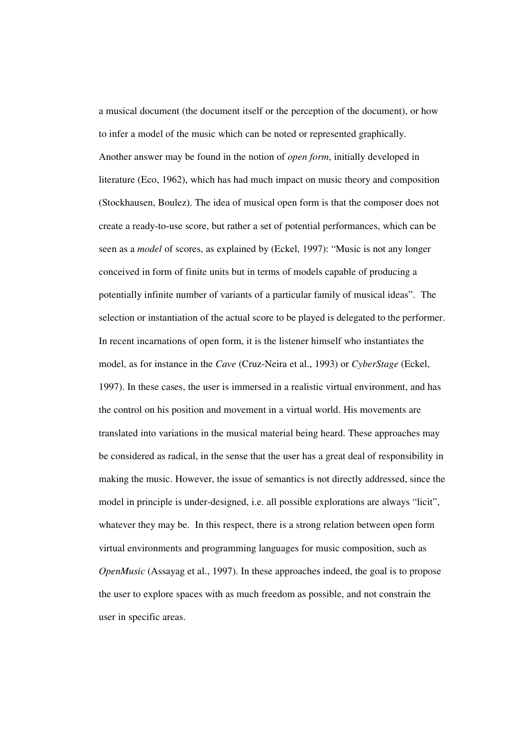a musical document (the document itself or the perception of the document), or how to infer a model of the music which can be noted or represented graphically. Another answer may be found in the notion of *open form*, initially developed in literature (Eco, 1962), which has had much impact on music theory and composition (Stockhausen, Boulez). The idea of musical open form is that the composer does not create a ready-to-use score, but rather a set of potential performances, which can be seen as a *model* of scores, as explained by (Eckel, 1997): "Music is not any longer conceived in form of finite units but in terms of models capable of producing a potentially infinite number of variants of a particular family of musical ideas". The selection or instantiation of the actual score to be played is delegated to the performer. In recent incarnations of open form, it is the listener himself who instantiates the model, as for instance in the *Cave* (Cruz-Neira et al., 1993) or *CyberStage* (Eckel, 1997). In these cases, the user is immersed in a realistic virtual environment, and has the control on his position and movement in a virtual world. His movements are translated into variations in the musical material being heard. These approaches may be considered as radical, in the sense that the user has a great deal of responsibility in making the music. However, the issue of semantics is not directly addressed, since the model in principle is under-designed, i.e. all possible explorations are always "licit", whatever they may be. In this respect, there is a strong relation between open form virtual environments and programming languages for music composition, such as *OpenMusic* (Assayag et al., 1997). In these approaches indeed, the goal is to propose the user to explore spaces with as much freedom as possible, and not constrain the user in specific areas.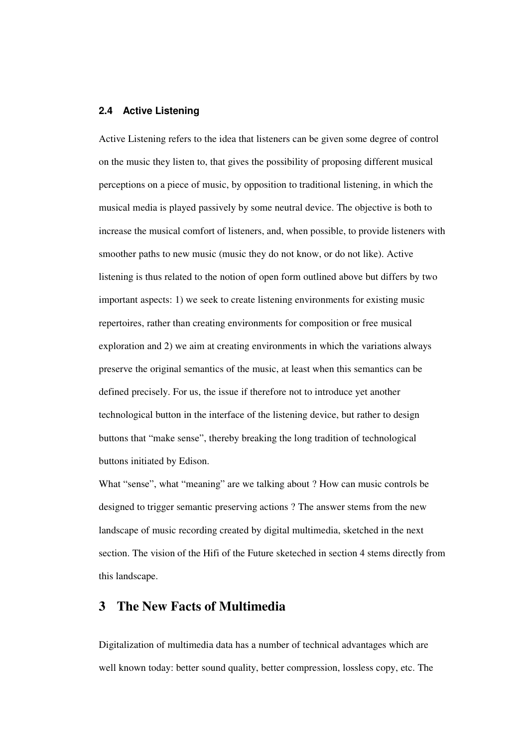## **2.4 Active Listening**

Active Listening refers to the idea that listeners can be given some degree of control on the music they listen to, that gives the possibility of proposing different musical perceptions on a piece of music, by opposition to traditional listening, in which the musical media is played passively by some neutral device. The objective is both to increase the musical comfort of listeners, and, when possible, to provide listeners with smoother paths to new music (music they do not know, or do not like). Active listening is thus related to the notion of open form outlined above but differs by two important aspects: 1) we seek to create listening environments for existing music repertoires, rather than creating environments for composition or free musical exploration and 2) we aim at creating environments in which the variations always preserve the original semantics of the music, at least when this semantics can be defined precisely. For us, the issue if therefore not to introduce yet another technological button in the interface of the listening device, but rather to design buttons that "make sense", thereby breaking the long tradition of technological buttons initiated by Edison.

What "sense", what "meaning" are we talking about ? How can music controls be designed to trigger semantic preserving actions ? The answer stems from the new landscape of music recording created by digital multimedia, sketched in the next section. The vision of the Hifi of the Future sketeched in section 4 stems directly from this landscape.

# **3 The New Facts of Multimedia**

Digitalization of multimedia data has a number of technical advantages which are well known today: better sound quality, better compression, lossless copy, etc. The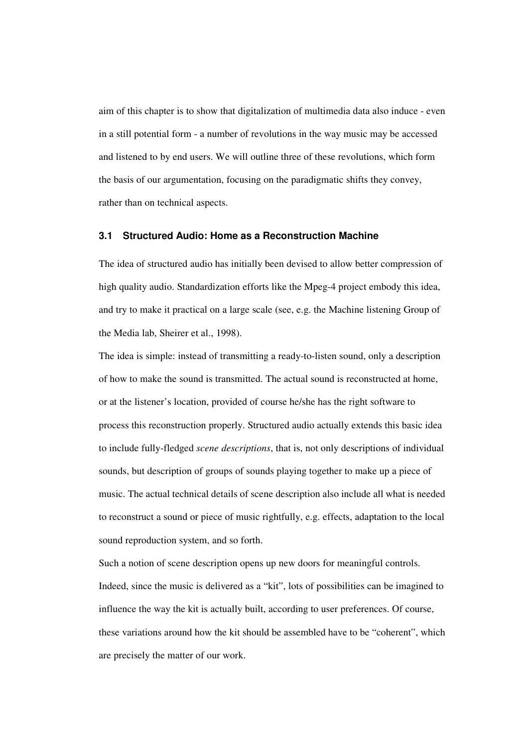aim of this chapter is to show that digitalization of multimedia data also induce - even in a still potential form - a number of revolutions in the way music may be accessed and listened to by end users. We will outline three of these revolutions, which form the basis of our argumentation, focusing on the paradigmatic shifts they convey, rather than on technical aspects.

#### **3.1 Structured Audio: Home as a Reconstruction Machine**

The idea of structured audio has initially been devised to allow better compression of high quality audio. Standardization efforts like the Mpeg-4 project embody this idea, and try to make it practical on a large scale (see, e.g. the Machine listening Group of the Media lab, Sheirer et al., 1998).

The idea is simple: instead of transmitting a ready-to-listen sound, only a description of how to make the sound is transmitted. The actual sound is reconstructed at home, or at the listener's location, provided of course he/she has the right software to process this reconstruction properly. Structured audio actually extends this basic idea to include fully-fledged *scene descriptions*, that is, not only descriptions of individual sounds, but description of groups of sounds playing together to make up a piece of music. The actual technical details of scene description also include all what is needed to reconstruct a sound or piece of music rightfully, e.g. effects, adaptation to the local sound reproduction system, and so forth.

Such a notion of scene description opens up new doors for meaningful controls. Indeed, since the music is delivered as a "kit", lots of possibilities can be imagined to influence the way the kit is actually built, according to user preferences. Of course, these variations around how the kit should be assembled have to be "coherent", which are precisely the matter of our work.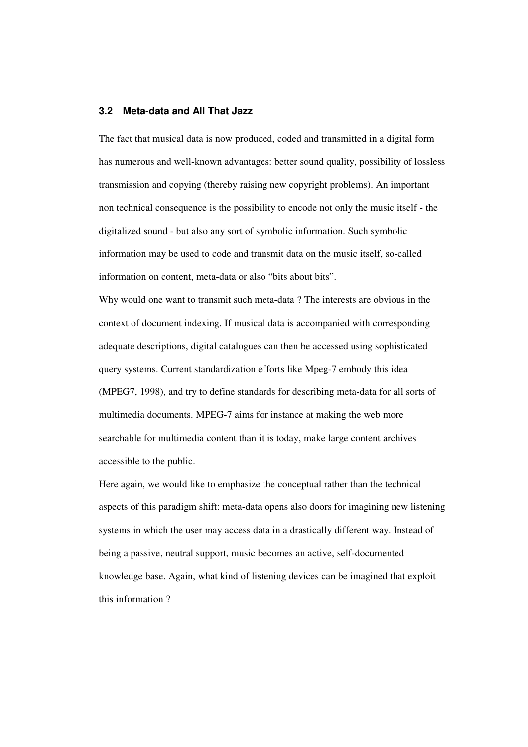#### **3.2 Meta-data and All That Jazz**

The fact that musical data is now produced, coded and transmitted in a digital form has numerous and well-known advantages: better sound quality, possibility of lossless transmission and copying (thereby raising new copyright problems). An important non technical consequence is the possibility to encode not only the music itself - the digitalized sound - but also any sort of symbolic information. Such symbolic information may be used to code and transmit data on the music itself, so-called information on content, meta-data or also "bits about bits".

Why would one want to transmit such meta-data ? The interests are obvious in the context of document indexing. If musical data is accompanied with corresponding adequate descriptions, digital catalogues can then be accessed using sophisticated query systems. Current standardization efforts like Mpeg-7 embody this idea (MPEG7, 1998), and try to define standards for describing meta-data for all sorts of multimedia documents. MPEG-7 aims for instance at making the web more searchable for multimedia content than it is today, make large content archives accessible to the public.

Here again, we would like to emphasize the conceptual rather than the technical aspects of this paradigm shift: meta-data opens also doors for imagining new listening systems in which the user may access data in a drastically different way. Instead of being a passive, neutral support, music becomes an active, self-documented knowledge base. Again, what kind of listening devices can be imagined that exploit this information ?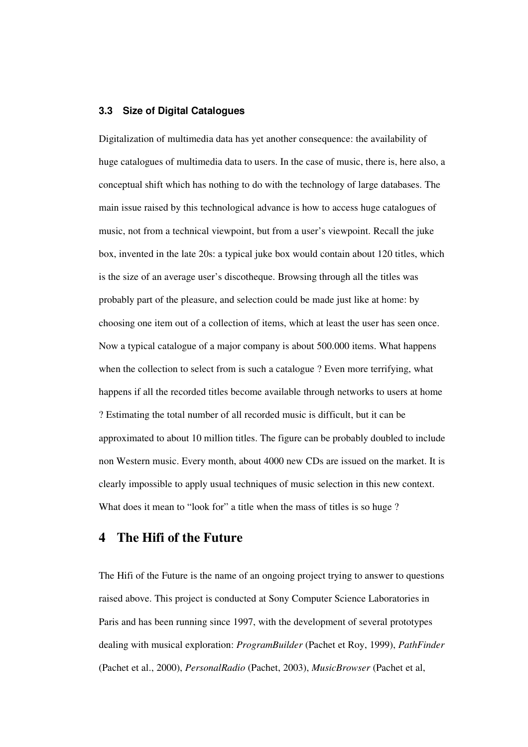## **3.3 Size of Digital Catalogues**

Digitalization of multimedia data has yet another consequence: the availability of huge catalogues of multimedia data to users. In the case of music, there is, here also, a conceptual shift which has nothing to do with the technology of large databases. The main issue raised by this technological advance is how to access huge catalogues of music, not from a technical viewpoint, but from a user's viewpoint. Recall the juke box, invented in the late 20s: a typical juke box would contain about 120 titles, which is the size of an average user's discotheque. Browsing through all the titles was probably part of the pleasure, and selection could be made just like at home: by choosing one item out of a collection of items, which at least the user has seen once. Now a typical catalogue of a major company is about 500.000 items. What happens when the collection to select from is such a catalogue ? Even more terrifying, what happens if all the recorded titles become available through networks to users at home ? Estimating the total number of all recorded music is difficult, but it can be approximated to about 10 million titles. The figure can be probably doubled to include non Western music. Every month, about 4000 new CDs are issued on the market. It is clearly impossible to apply usual techniques of music selection in this new context. What does it mean to "look for" a title when the mass of titles is so huge?

# **4 The Hifi of the Future**

The Hifi of the Future is the name of an ongoing project trying to answer to questions raised above. This project is conducted at Sony Computer Science Laboratories in Paris and has been running since 1997, with the development of several prototypes dealing with musical exploration: *ProgramBuilder* (Pachet et Roy, 1999), *PathFinder* (Pachet et al., 2000), *PersonalRadio* (Pachet, 2003), *MusicBrowser* (Pachet et al,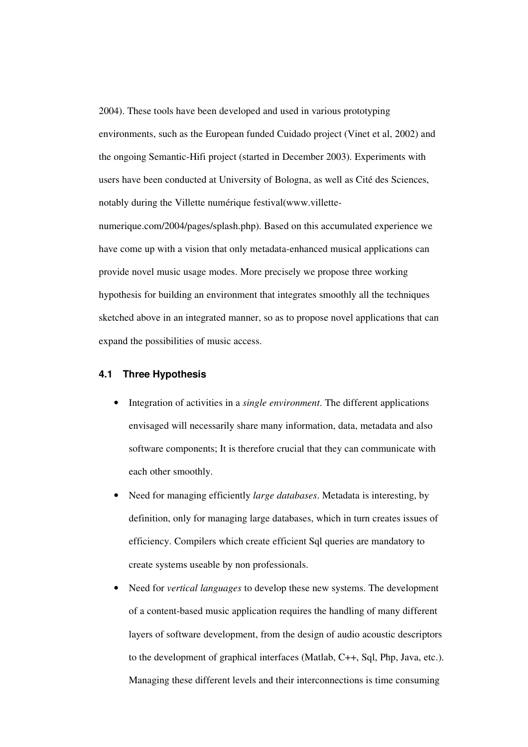2004). These tools have been developed and used in various prototyping environments, such as the European funded Cuidado project (Vinet et al, 2002) and the ongoing Semantic-Hifi project (started in December 2003). Experiments with users have been conducted at University of Bologna, as well as Cité des Sciences, notably during the Villette numérique festival(www.villette-

numerique.com/2004/pages/splash.php). Based on this accumulated experience we have come up with a vision that only metadata-enhanced musical applications can provide novel music usage modes. More precisely we propose three working hypothesis for building an environment that integrates smoothly all the techniques sketched above in an integrated manner, so as to propose novel applications that can expand the possibilities of music access.

#### **4.1 Three Hypothesis**

- Integration of activities in a *single environment*. The different applications envisaged will necessarily share many information, data, metadata and also software components; It is therefore crucial that they can communicate with each other smoothly.
- Need for managing efficiently *large databases*. Metadata is interesting, by definition, only for managing large databases, which in turn creates issues of efficiency. Compilers which create efficient Sql queries are mandatory to create systems useable by non professionals.
- Need for *vertical languages* to develop these new systems. The development of a content-based music application requires the handling of many different layers of software development, from the design of audio acoustic descriptors to the development of graphical interfaces (Matlab, C++, Sql, Php, Java, etc.). Managing these different levels and their interconnections is time consuming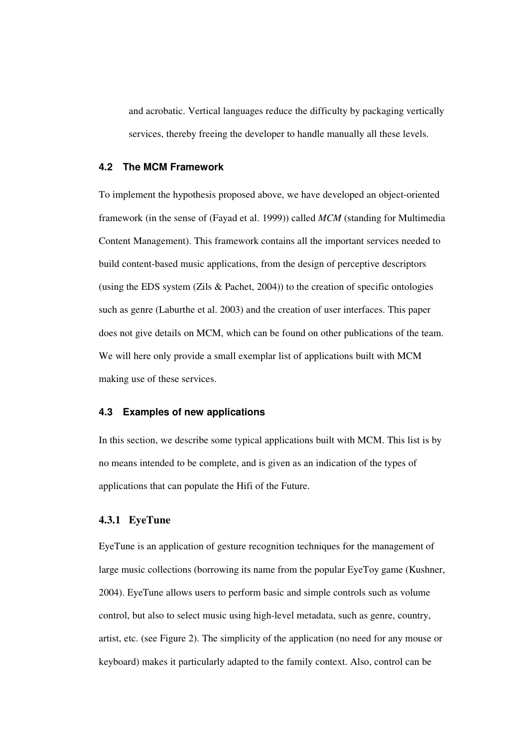and acrobatic. Vertical languages reduce the difficulty by packaging vertically services, thereby freeing the developer to handle manually all these levels.

#### **4.2 The MCM Framework**

To implement the hypothesis proposed above, we have developed an object-oriented framework (in the sense of (Fayad et al. 1999)) called *MCM* (standing for Multimedia Content Management). This framework contains all the important services needed to build content-based music applications, from the design of perceptive descriptors (using the EDS system (Zils & Pachet, 2004)) to the creation of specific ontologies such as genre (Laburthe et al. 2003) and the creation of user interfaces. This paper does not give details on MCM, which can be found on other publications of the team. We will here only provide a small exemplar list of applications built with MCM making use of these services.

# **4.3 Examples of new applications**

In this section, we describe some typical applications built with MCM. This list is by no means intended to be complete, and is given as an indication of the types of applications that can populate the Hifi of the Future.

#### **4.3.1 EyeTune**

EyeTune is an application of gesture recognition techniques for the management of large music collections (borrowing its name from the popular EyeToy game (Kushner, 2004). EyeTune allows users to perform basic and simple controls such as volume control, but also to select music using high-level metadata, such as genre, country, artist, etc. (see Figure 2). The simplicity of the application (no need for any mouse or keyboard) makes it particularly adapted to the family context. Also, control can be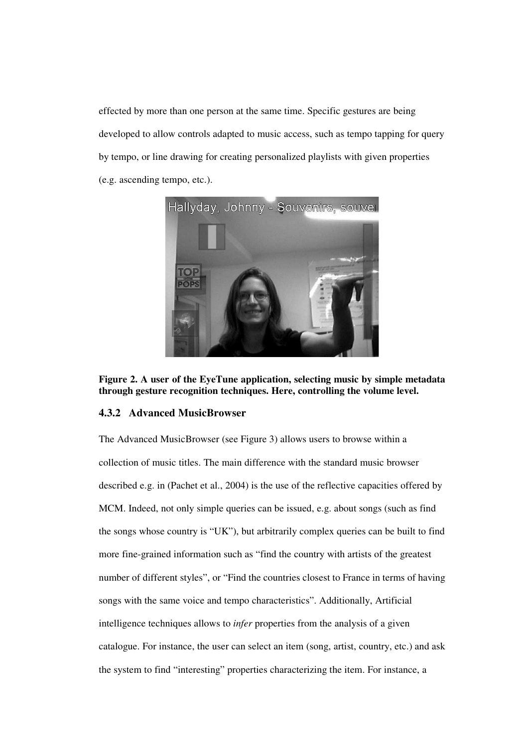effected by more than one person at the same time. Specific gestures are being developed to allow controls adapted to music access, such as tempo tapping for query by tempo, or line drawing for creating personalized playlists with given properties (e.g. ascending tempo, etc.).





#### **4.3.2 Advanced MusicBrowser**

The Advanced MusicBrowser (see Figure 3) allows users to browse within a collection of music titles. The main difference with the standard music browser described e.g. in (Pachet et al., 2004) is the use of the reflective capacities offered by MCM. Indeed, not only simple queries can be issued, e.g. about songs (such as find the songs whose country is "UK"), but arbitrarily complex queries can be built to find more fine-grained information such as "find the country with artists of the greatest number of different styles", or "Find the countries closest to France in terms of having songs with the same voice and tempo characteristics". Additionally, Artificial intelligence techniques allows to *infer* properties from the analysis of a given catalogue. For instance, the user can select an item (song, artist, country, etc.) and ask the system to find "interesting" properties characterizing the item. For instance, a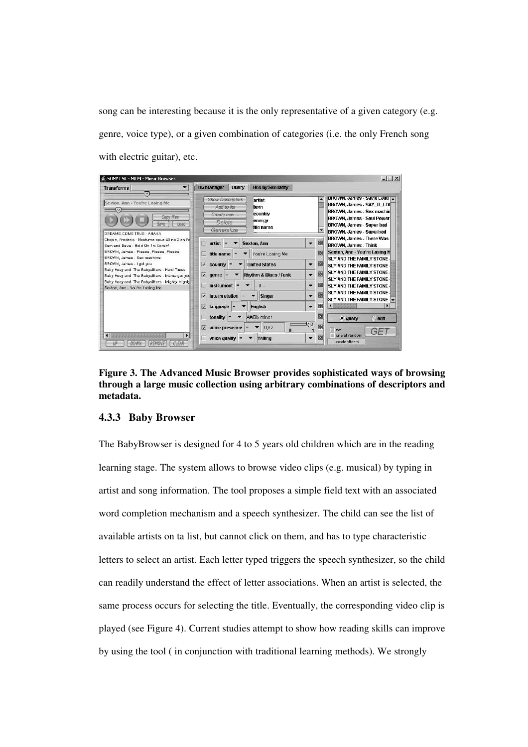song can be interesting because it is the only representative of a given category (e.g. genre, voice type), or a given combination of categories (i.e. the only French song with electric guitar), etc.

| <b>SONY CSL - MCM - Music Browser</b>                                                                                                                                                                                                                                                                                                                                                                                                                                      |                                                                                                                                 |                                            | $ \Box$ $\times$                                                                                                                                                                                                                                                                |
|----------------------------------------------------------------------------------------------------------------------------------------------------------------------------------------------------------------------------------------------------------------------------------------------------------------------------------------------------------------------------------------------------------------------------------------------------------------------------|---------------------------------------------------------------------------------------------------------------------------------|--------------------------------------------|---------------------------------------------------------------------------------------------------------------------------------------------------------------------------------------------------------------------------------------------------------------------------------|
| $\overline{\phantom{a}}$<br><b>Transforms</b>                                                                                                                                                                                                                                                                                                                                                                                                                              | <b>Find by Similarity</b><br>Db manager<br>Query                                                                                |                                            |                                                                                                                                                                                                                                                                                 |
| OS)<br>Sexton, Ann - You're Losing Me<br>Copy files<br>Load<br>Save<br>DREAMS COME TRUE - AHAHA<br>Chopin, Frederic - Nocturne opus 48 no 2 en Fa<br>Sam and Dave - Hold On I'm Comin'<br>BROWN, James - Please, Please, Please<br>BROWN, James - Sex machine<br>BROWN, James - I got you<br>Baby Huey and The Babysitters - Hard Times<br>Baby Huey and The Babysitters - Mama get you<br>Baby Huey and The Babysitters - Mighty Mighty<br>Sexton, Ann - You're Losing Me | <b>Show Descriptors</b><br>artist<br>Add to fist<br>bom<br>country<br>Create new<br>energy<br>Detete<br>file name<br>Generalize | $\overline{\phantom{a}}$                   | BROWN, James - Sav It Loud<br>BROWN, James - SAY IT LOI<br>BROWN, James - Sex machin<br>BROWN, James - Soul Power<br>BROWN, James - Super bad<br>BROWN, James - Superbad                                                                                                        |
|                                                                                                                                                                                                                                                                                                                                                                                                                                                                            | E<br><b>Sexton, Ann</b><br>artist<br>$=$                                                                                        | 図<br>$\blacktriangledown$                  | BROWN, James - There Was<br><b>BROWN, James - Think</b>                                                                                                                                                                                                                         |
|                                                                                                                                                                                                                                                                                                                                                                                                                                                                            | You're Losing Me<br>title name<br>П                                                                                             | X                                          | Sexton, Ann - You're Losing M<br>SLY AND THE FAMILY STONE<br>國<br><b>SLY AND THE FAMILY STONE</b><br><b>SLY AND THE FAMILY STONE</b><br>図<br><b>SLY AND THE FAMILY STONE -</b><br>M<br>SLY AND THE FAMILY STONE.<br>SLY AND THE FAMILY STONE -<br>図<br>SLY AND THE FAMILY STONE |
|                                                                                                                                                                                                                                                                                                                                                                                                                                                                            | z<br><b>United States</b><br>country<br>≘                                                                                       | $\overline{\phantom{a}}$                   |                                                                                                                                                                                                                                                                                 |
|                                                                                                                                                                                                                                                                                                                                                                                                                                                                            | $\blacksquare$<br>Rhythm & Blues / Funk<br>denre<br>$=$                                                                         | $\overline{\mathbf{v}}$                    |                                                                                                                                                                                                                                                                                 |
|                                                                                                                                                                                                                                                                                                                                                                                                                                                                            | <b>instrument</b><br>胸<br>$=$<br>$? -$                                                                                          | $\overline{\phantom{a}}$                   |                                                                                                                                                                                                                                                                                 |
|                                                                                                                                                                                                                                                                                                                                                                                                                                                                            | interpretation<br>z<br><b>Singer</b>                                                                                            | $\overline{\mathbf{v}}$                    |                                                                                                                                                                                                                                                                                 |
|                                                                                                                                                                                                                                                                                                                                                                                                                                                                            | <b>English</b><br>v<br>$language =$                                                                                             | X<br>$\overline{\phantom{a}}$              | 323333332<br>$\left  \cdot \right $                                                                                                                                                                                                                                             |
|                                                                                                                                                                                                                                                                                                                                                                                                                                                                            | A#/Bb minor<br>П<br>tonality<br>$=$                                                                                             | 図                                          | $\bullet$ query<br>$\bigcirc$ edit                                                                                                                                                                                                                                              |
| $\blacktriangleleft$<br><b>CLEAR</b><br>UΡ<br><b>DOWN</b><br>REMOVE                                                                                                                                                                                                                                                                                                                                                                                                        | 0,82<br>v<br>voice presence<br>$\bf{0}$<br>Yelling<br>voice quality                                                             | t h<br>図<br>ΙX<br>$\overline{\phantom{a}}$ | E<br>not<br>GET<br>one at random<br>update sliders                                                                                                                                                                                                                              |

**Figure 3. The Advanced Music Browser provides sophisticated ways of browsing through a large music collection using arbitrary combinations of descriptors and metadata.**

# **4.3.3 Baby Browser**

The BabyBrowser is designed for 4 to 5 years old children which are in the reading learning stage. The system allows to browse video clips (e.g. musical) by typing in artist and song information. The tool proposes a simple field text with an associated word completion mechanism and a speech synthesizer. The child can see the list of available artists on ta list, but cannot click on them, and has to type characteristic letters to select an artist. Each letter typed triggers the speech synthesizer, so the child can readily understand the effect of letter associations. When an artist is selected, the same process occurs for selecting the title. Eventually, the corresponding video clip is played (see Figure 4). Current studies attempt to show how reading skills can improve by using the tool ( in conjunction with traditional learning methods). We strongly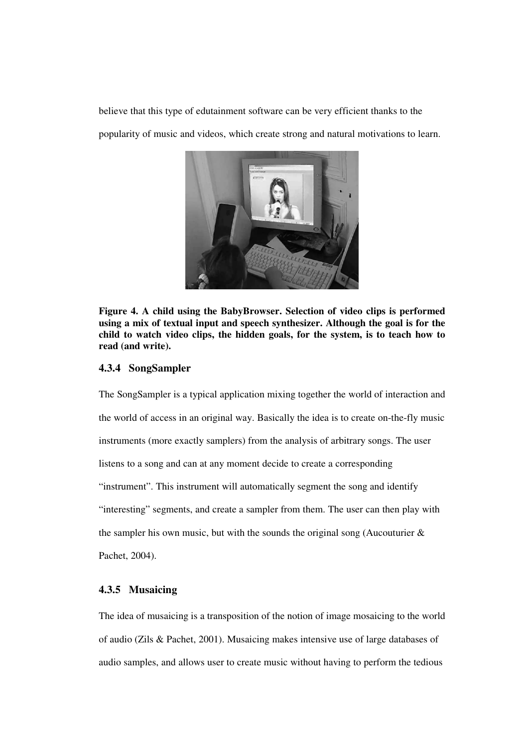believe that this type of edutainment software can be very efficient thanks to the popularity of music and videos, which create strong and natural motivations to learn.



**Figure 4. A child using the BabyBrowser. Selection of video clips is performed using a mix of textual input and speech synthesizer. Although the goal is for the child to watch video clips, the hidden goals, for the system, is to teach how to read (and write).**

#### **4.3.4 SongSampler**

The SongSampler is a typical application mixing together the world of interaction and the world of access in an original way. Basically the idea is to create on-the-fly music instruments (more exactly samplers) from the analysis of arbitrary songs. The user listens to a song and can at any moment decide to create a corresponding "instrument". This instrument will automatically segment the song and identify "interesting" segments, and create a sampler from them. The user can then play with the sampler his own music, but with the sounds the original song (Aucouturier  $\&$ Pachet, 2004).

# **4.3.5 Musaicing**

The idea of musaicing is a transposition of the notion of image mosaicing to the world of audio (Zils & Pachet, 2001). Musaicing makes intensive use of large databases of audio samples, and allows user to create music without having to perform the tedious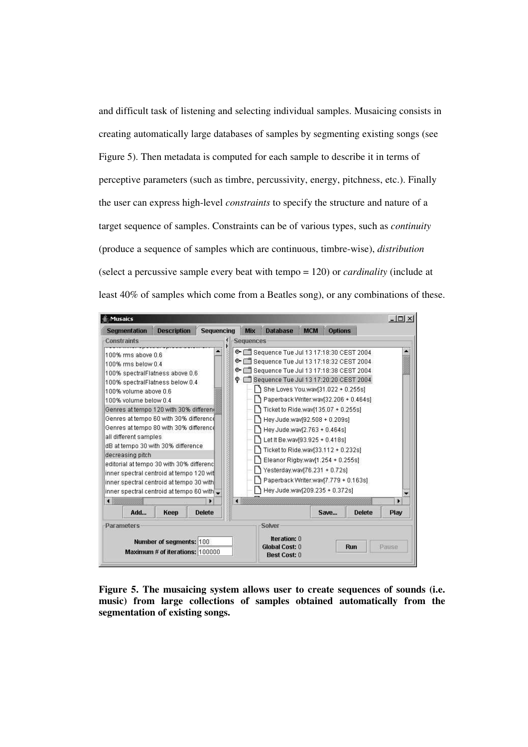and difficult task of listening and selecting individual samples. Musaicing consists in creating automatically large databases of samples by segmenting existing songs (see Figure 5). Then metadata is computed for each sample to describe it in terms of perceptive parameters (such as timbre, percussivity, energy, pitchness, etc.). Finally the user can express high-level *constraints* to specify the structure and nature of a target sequence of samples. Constraints can be of various types, such as *continuity* (produce a sequence of samples which are continuous, timbre-wise), *distribution* (select a percussive sample every beat with tempo = 120) or *cardinality* (include at least 40% of samples which come from a Beatles song), or any combinations of these.



**Figure 5. The musaicing system allows user to create sequences of sounds (i.e. music) from large collections of samples obtained automatically from the segmentation of existing songs.**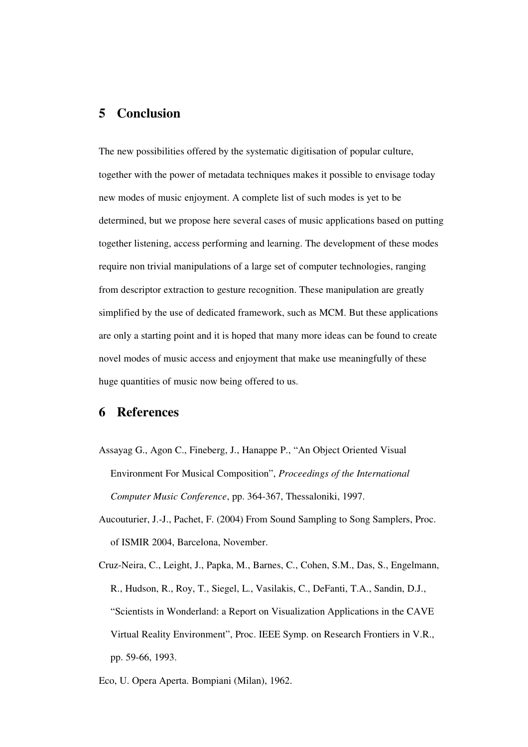# **5 Conclusion**

The new possibilities offered by the systematic digitisation of popular culture, together with the power of metadata techniques makes it possible to envisage today new modes of music enjoyment. A complete list of such modes is yet to be determined, but we propose here several cases of music applications based on putting together listening, access performing and learning. The development of these modes require non trivial manipulations of a large set of computer technologies, ranging from descriptor extraction to gesture recognition. These manipulation are greatly simplified by the use of dedicated framework, such as MCM. But these applications are only a starting point and it is hoped that many more ideas can be found to create novel modes of music access and enjoyment that make use meaningfully of these huge quantities of music now being offered to us.

# **6 References**

- Assayag G., Agon C., Fineberg, J., Hanappe P., "An Object Oriented Visual Environment For Musical Composition", *Proceedings of the International Computer Music Conference*, pp. 364-367, Thessaloniki, 1997.
- Aucouturier, J.-J., Pachet, F. (2004) From Sound Sampling to Song Samplers, Proc. of ISMIR 2004, Barcelona, November.
- Cruz-Neira, C., Leight, J., Papka, M., Barnes, C., Cohen, S.M., Das, S., Engelmann, R., Hudson, R., Roy, T., Siegel, L., Vasilakis, C., DeFanti, T.A., Sandin, D.J., "Scientists in Wonderland: a Report on Visualization Applications in the CAVE Virtual Reality Environment", Proc. IEEE Symp. on Research Frontiers in V.R., pp. 59-66, 1993.
- Eco, U. Opera Aperta. Bompiani (Milan), 1962.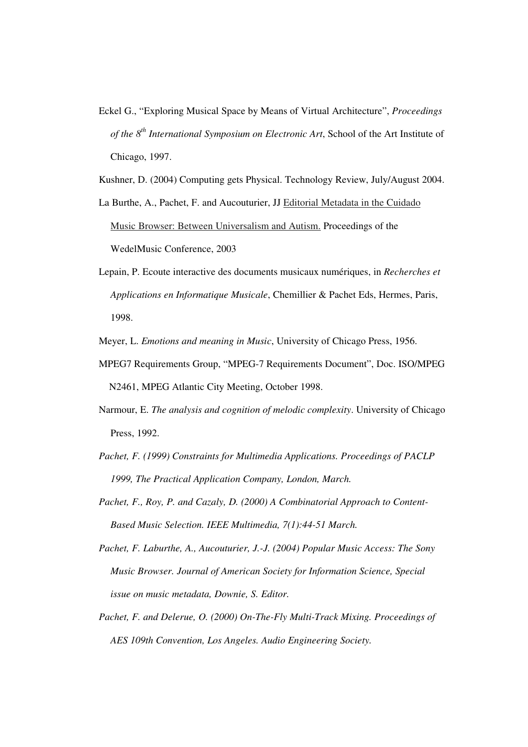Eckel G., "Exploring Musical Space by Means of Virtual Architecture", *Proceedings of the 8 th International Symposium on Electronic Art*, School of the Art Institute of Chicago, 1997.

Kushner, D. (2004) Computing gets Physical. Technology Review, July/August 2004.

La Burthe, A., Pachet, F. and Aucouturier, JJ Editorial Metadata in the Cuidado Music Browser: Between Universalism and Autism. Proceedings of the WedelMusic Conference, 2003

Lepain, P. Ecoute interactive des documents musicaux numériques, in *Recherches et Applications en Informatique Musicale*, Chemillier & Pachet Eds, Hermes, Paris, 1998.

Meyer, L. *Emotions and meaning in Music*, University of Chicago Press, 1956.

- MPEG7 Requirements Group, "MPEG-7 Requirements Document", Doc. ISO/MPEG N2461, MPEG Atlantic City Meeting, October 1998.
- Narmour, E. *The analysis and cognition of melodic complexity*. University of Chicago Press, 1992.
- *Pachet, F. (1999) Constraints for Multimedia Applications. Proceedings of PACLP 1999, The Practical Application Company, London, March.*
- *Pachet, F., Roy, P. and Cazaly, D. (2000) A Combinatorial Approach to Content-Based Music Selection. IEEE Multimedia, 7(1):44-51 March.*
- *Pachet, F. Laburthe, A., Aucouturier, J.-J. (2004) Popular Music Access: The Sony Music Browser. Journal of American Society for Information Science, Special issue on music metadata, Downie, S. Editor.*
- *Pachet, F. and Delerue, O. (2000) On-The-Fly Multi-Track Mixing. Proceedings of AES 109th Convention, Los Angeles. Audio Engineering Society.*